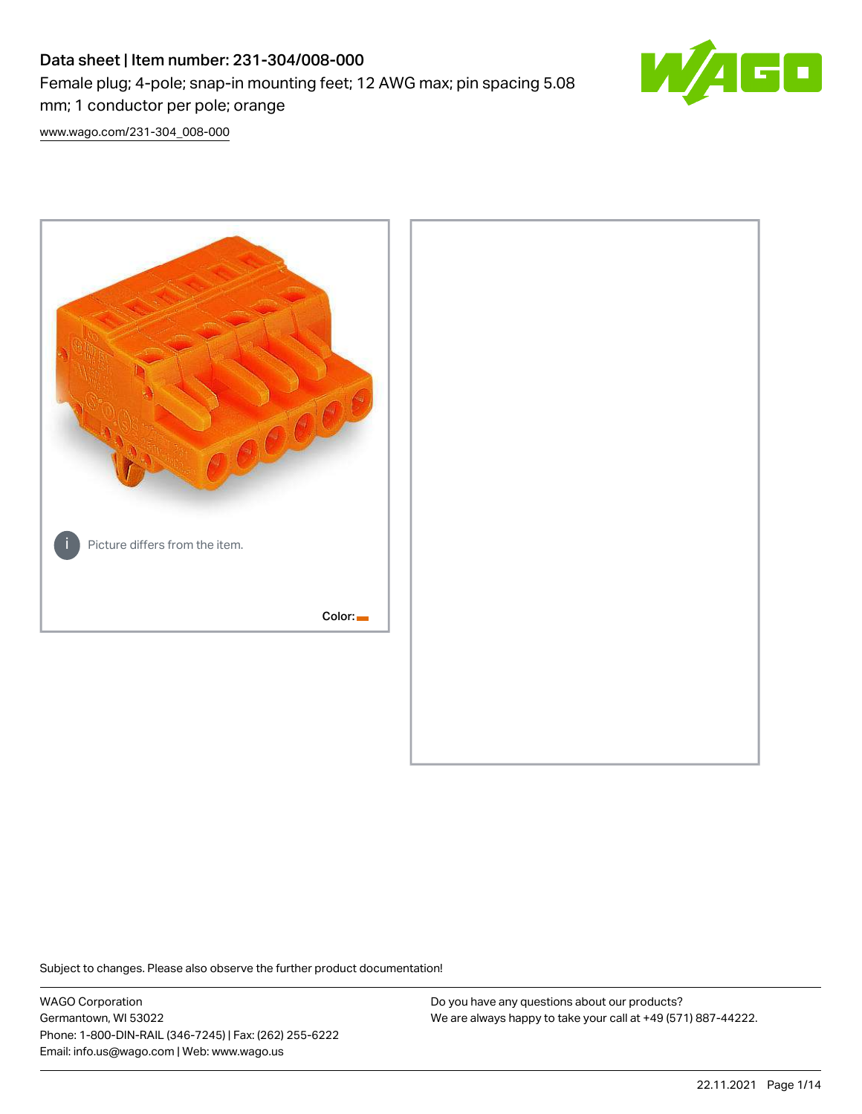# Data sheet | Item number: 231-304/008-000 Female plug; 4-pole; snap-in mounting feet; 12 AWG max; pin spacing 5.08 mm; 1 conductor per pole; orange



[www.wago.com/231-304\\_008-000](http://www.wago.com/231-304_008-000)



Subject to changes. Please also observe the further product documentation!

WAGO Corporation Germantown, WI 53022 Phone: 1-800-DIN-RAIL (346-7245) | Fax: (262) 255-6222 Email: info.us@wago.com | Web: www.wago.us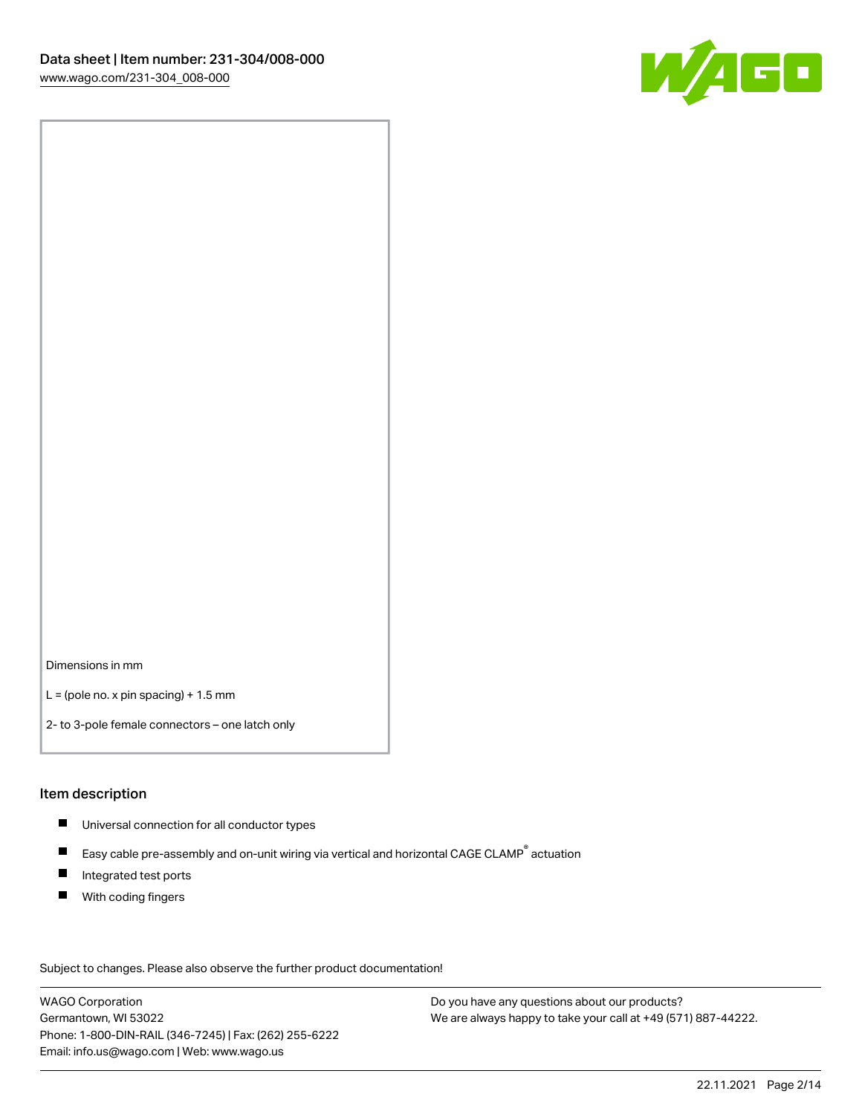

Dimensions in mm

 $L =$  (pole no. x pin spacing) + 1.5 mm

2- to 3-pole female connectors – one latch only

#### Item description

- **Universal connection for all conductor types**
- Easy cable pre-assembly and on-unit wiring via vertical and horizontal CAGE CLAMP<sup>®</sup> actuation  $\blacksquare$
- $\blacksquare$ Integrated test ports
- $\blacksquare$ With coding fingers

Subject to changes. Please also observe the further product documentation! Data

WAGO Corporation Germantown, WI 53022 Phone: 1-800-DIN-RAIL (346-7245) | Fax: (262) 255-6222 Email: info.us@wago.com | Web: www.wago.us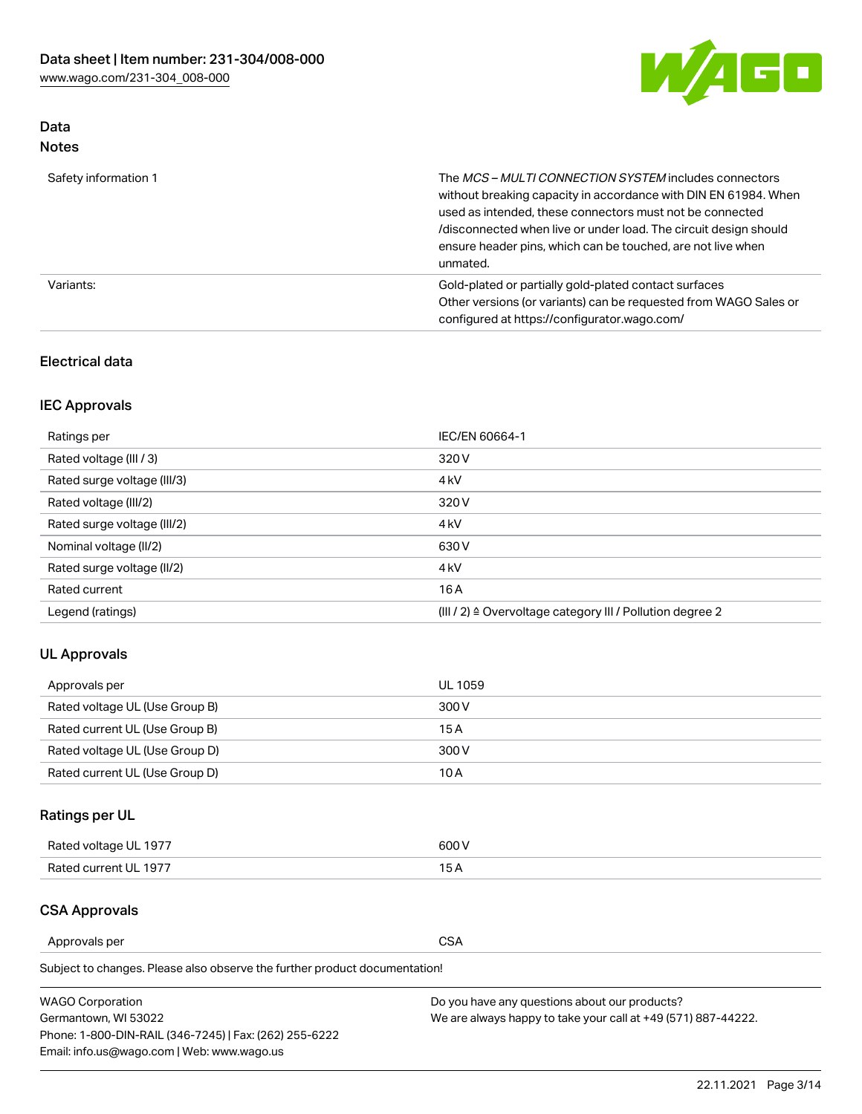

## Data Notes

| Safety information 1 | The MCS-MULTI CONNECTION SYSTEM includes connectors<br>without breaking capacity in accordance with DIN EN 61984. When<br>used as intended, these connectors must not be connected<br>/disconnected when live or under load. The circuit design should<br>ensure header pins, which can be touched, are not live when<br>unmated. |
|----------------------|-----------------------------------------------------------------------------------------------------------------------------------------------------------------------------------------------------------------------------------------------------------------------------------------------------------------------------------|
| Variants:            | Gold-plated or partially gold-plated contact surfaces<br>Other versions (or variants) can be requested from WAGO Sales or<br>configured at https://configurator.wago.com/                                                                                                                                                         |

## Electrical data

## IEC Approvals

| Ratings per                 | IEC/EN 60664-1                                                        |
|-----------------------------|-----------------------------------------------------------------------|
| Rated voltage (III / 3)     | 320 V                                                                 |
| Rated surge voltage (III/3) | 4 <sub>k</sub> V                                                      |
| Rated voltage (III/2)       | 320 V                                                                 |
| Rated surge voltage (III/2) | 4 <sub>k</sub> V                                                      |
| Nominal voltage (II/2)      | 630 V                                                                 |
| Rated surge voltage (II/2)  | 4 <sub>k</sub> V                                                      |
| Rated current               | 16A                                                                   |
| Legend (ratings)            | $(III / 2)$ $\triangle$ Overvoltage category III / Pollution degree 2 |

## UL Approvals

| Approvals per                  | UL 1059 |
|--------------------------------|---------|
| Rated voltage UL (Use Group B) | 300 V   |
| Rated current UL (Use Group B) | 15 A    |
| Rated voltage UL (Use Group D) | 300 V   |
| Rated current UL (Use Group D) | 10 A    |

## Ratings per UL

| Rated voltage UL 1977 | 600 V         |
|-----------------------|---------------|
| Rated current UL 1977 | $\sim$ $\sim$ |

## CSA Approvals

Approvals per CSA

Subject to changes. Please also observe the further product documentation!

| <b>WAGO Corporation</b>                                | Do you have any questions about our products?                 |
|--------------------------------------------------------|---------------------------------------------------------------|
| Germantown, WI 53022                                   | We are always happy to take your call at +49 (571) 887-44222. |
| Phone: 1-800-DIN-RAIL (346-7245)   Fax: (262) 255-6222 |                                                               |
| Email: info.us@wago.com   Web: www.wago.us             |                                                               |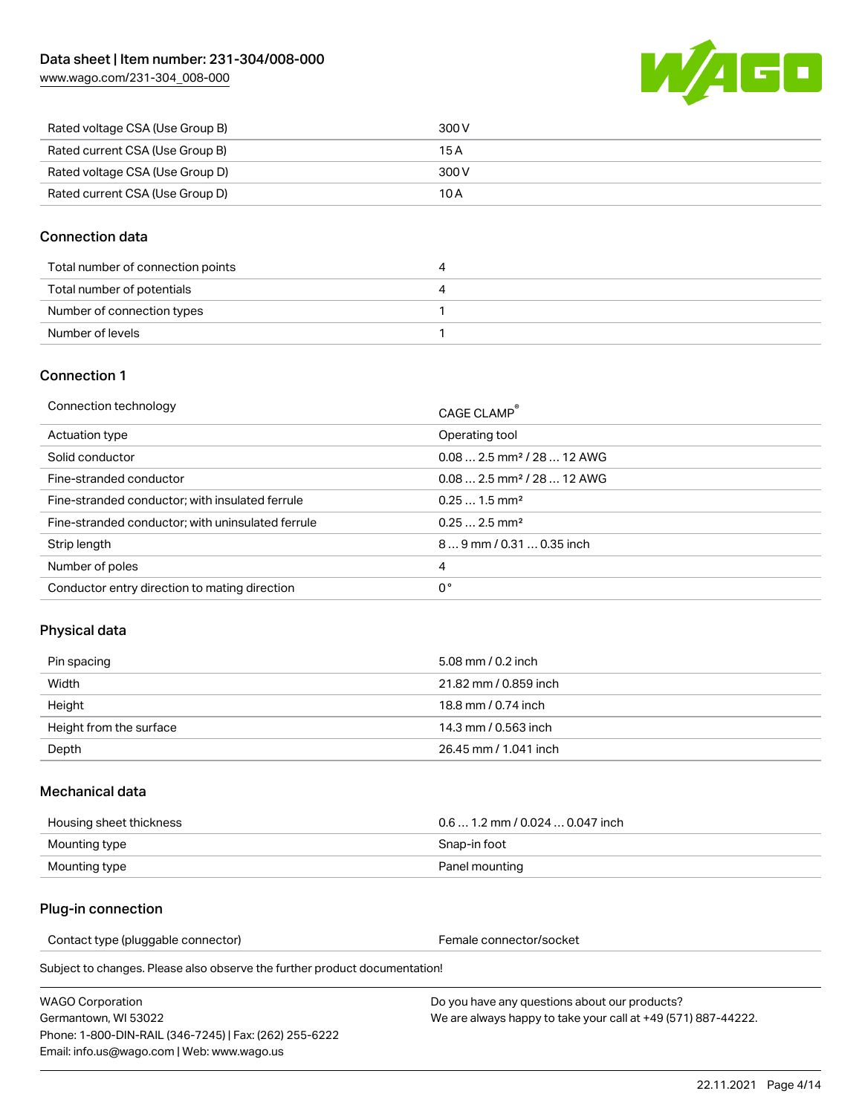[www.wago.com/231-304\\_008-000](http://www.wago.com/231-304_008-000)



| Rated voltage CSA (Use Group B) | 300 V |
|---------------------------------|-------|
| Rated current CSA (Use Group B) | 15 A  |
| Rated voltage CSA (Use Group D) | 300 V |
| Rated current CSA (Use Group D) | 10 A  |

#### Connection data

| Total number of connection points |  |
|-----------------------------------|--|
| Total number of potentials        |  |
| Number of connection types        |  |
| Number of levels                  |  |

#### Connection 1

| Connection technology                             | CAGE CLAMP <sup>®</sup>                 |
|---------------------------------------------------|-----------------------------------------|
| Actuation type                                    | Operating tool                          |
| Solid conductor                                   | $0.082.5$ mm <sup>2</sup> / 28  12 AWG  |
| Fine-stranded conductor                           | $0.08$ 2.5 mm <sup>2</sup> / 28  12 AWG |
| Fine-stranded conductor; with insulated ferrule   | $0.251.5$ mm <sup>2</sup>               |
| Fine-stranded conductor; with uninsulated ferrule | $0.252.5$ mm <sup>2</sup>               |
| Strip length                                      | 89 mm / 0.31  0.35 inch                 |
| Number of poles                                   | 4                                       |
| Conductor entry direction to mating direction     | 0°                                      |

## Physical data

| Pin spacing             | 5.08 mm / 0.2 inch    |
|-------------------------|-----------------------|
| Width                   | 21.82 mm / 0.859 inch |
| Height                  | 18.8 mm / 0.74 inch   |
| Height from the surface | 14.3 mm / 0.563 inch  |
| Depth                   | 26.45 mm / 1.041 inch |

#### Mechanical data

| Housing sheet thickness | $0.61.2$ mm / 0.024  0.047 inch |
|-------------------------|---------------------------------|
| Mounting type           | Snap-in foot                    |
| Mounting type           | Panel mounting                  |

#### Plug-in connection

Contact type (pluggable connector) example a set of the Female connector/socket

Subject to changes. Please also observe the further product documentation!

WAGO Corporation Germantown, WI 53022 Phone: 1-800-DIN-RAIL (346-7245) | Fax: (262) 255-6222 Email: info.us@wago.com | Web: www.wago.us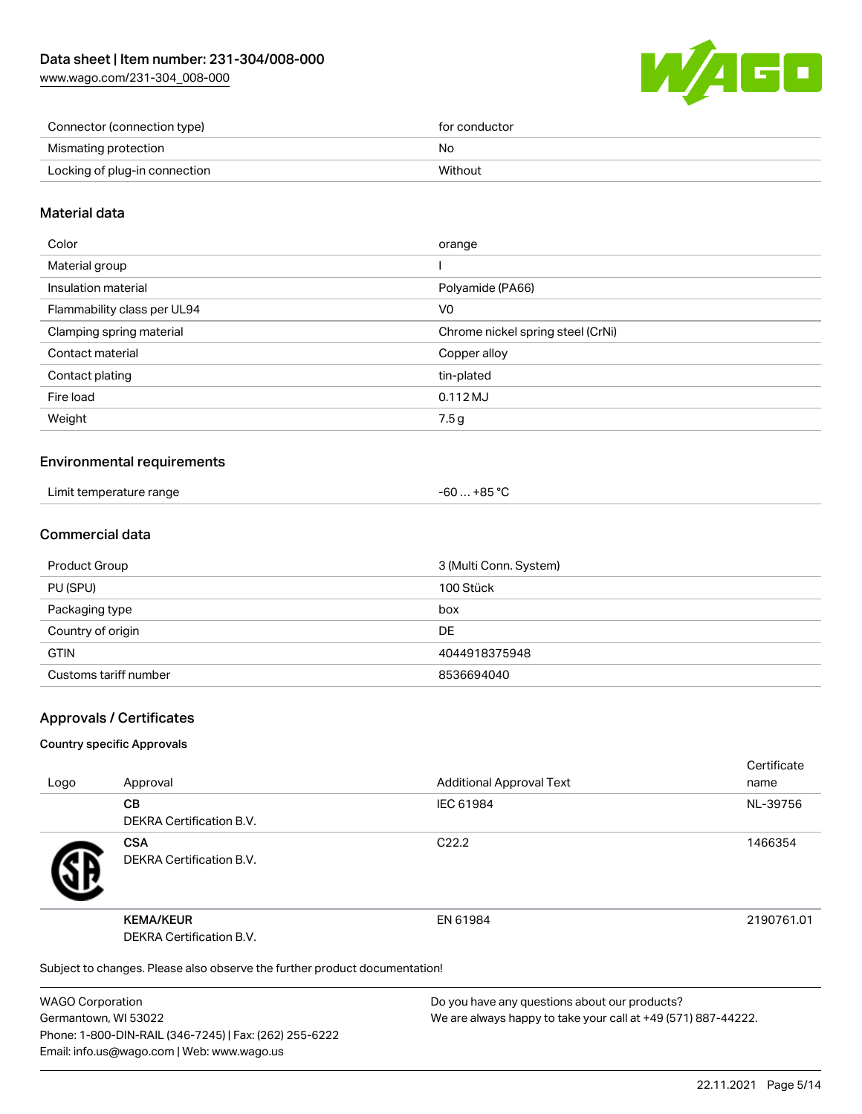[www.wago.com/231-304\\_008-000](http://www.wago.com/231-304_008-000)



| Connector (connection type)   | for conductor |
|-------------------------------|---------------|
| Mismating protection          | No            |
| Locking of plug-in connection | Without       |

#### Material data

| Color                       | orange                            |
|-----------------------------|-----------------------------------|
| Material group              |                                   |
| Insulation material         | Polyamide (PA66)                  |
| Flammability class per UL94 | V0                                |
| Clamping spring material    | Chrome nickel spring steel (CrNi) |
| Contact material            | Copper alloy                      |
| Contact plating             | tin-plated                        |
| Fire load                   | 0.112 MJ                          |
| Weight                      | 7.5g                              |
|                             |                                   |

#### Environmental requirements

| Limit temperature range<br>. | . +85 ℃<br>-60 |  |
|------------------------------|----------------|--|
|------------------------------|----------------|--|

#### Commercial data

| Product Group         | 3 (Multi Conn. System) |
|-----------------------|------------------------|
| PU (SPU)              | 100 Stück              |
| Packaging type        | box                    |
| Country of origin     | DE                     |
| <b>GTIN</b>           | 4044918375948          |
| Customs tariff number | 8536694040             |

#### Approvals / Certificates

#### Country specific Approvals

| Logo                                                                       | Approval                                      | <b>Additional Approval Text</b> | Certificate<br>name |
|----------------------------------------------------------------------------|-----------------------------------------------|---------------------------------|---------------------|
|                                                                            | <b>CB</b><br><b>DEKRA Certification B.V.</b>  | IEC 61984                       | NL-39756            |
|                                                                            | <b>CSA</b><br><b>DEKRA Certification B.V.</b> | C <sub>22.2</sub>               | 1466354             |
|                                                                            | <b>KEMA/KEUR</b><br>DEKRA Certification B.V.  | EN 61984                        | 2190761.01          |
| Subject to changes. Please also observe the further product documentation! |                                               |                                 |                     |

WAGO Corporation Germantown, WI 53022 Phone: 1-800-DIN-RAIL (346-7245) | Fax: (262) 255-6222 Email: info.us@wago.com | Web: www.wago.us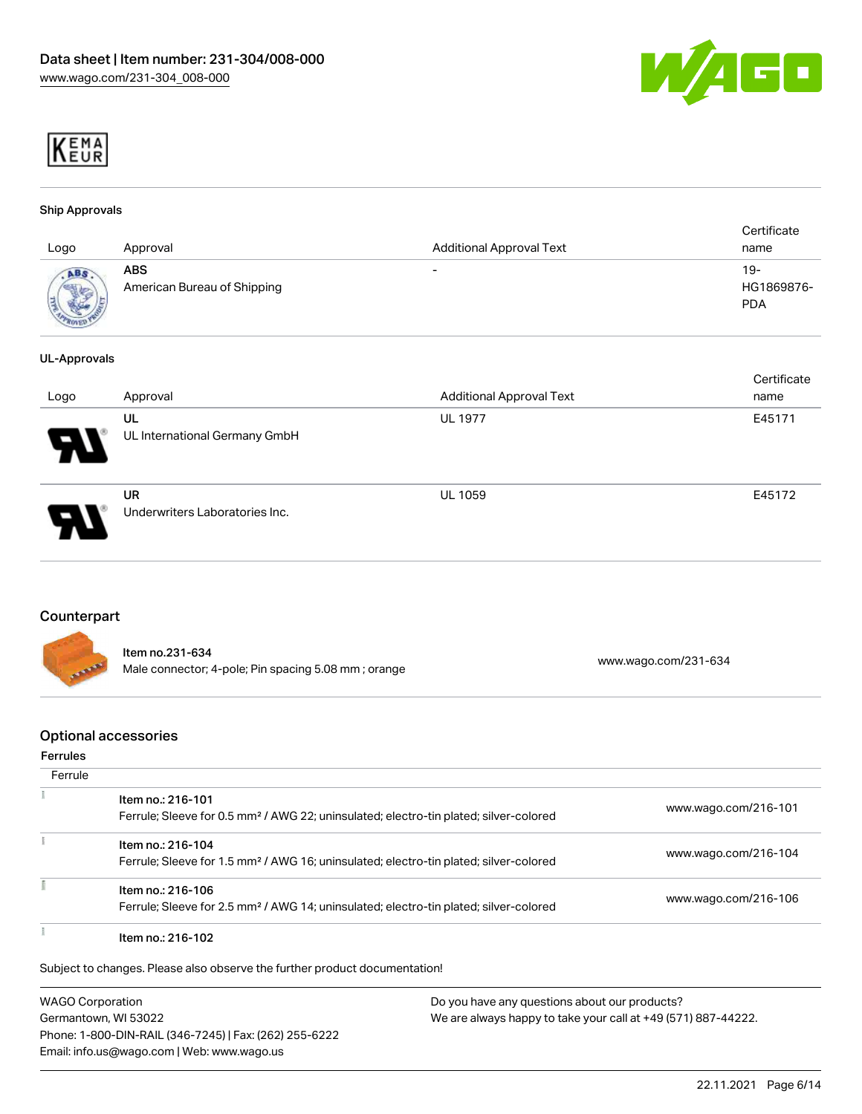



#### Ship Approvals

| Logo                 | Approval                                  | <b>Additional Approval Text</b> | Certificate<br>name             |
|----------------------|-------------------------------------------|---------------------------------|---------------------------------|
| ABS<br><b>Allege</b> | <b>ABS</b><br>American Bureau of Shipping | $\overline{\phantom{0}}$        | 19-<br>HG1869876-<br><b>PDA</b> |

#### UL-Approvals

| Logo                  | Approval                                    | <b>Additional Approval Text</b> | Certificate<br>name |
|-----------------------|---------------------------------------------|---------------------------------|---------------------|
| $\boldsymbol{\theta}$ | UL<br>UL International Germany GmbH         | <b>UL 1977</b>                  | E45171              |
| Э.                    | <b>UR</b><br>Underwriters Laboratories Inc. | <b>UL 1059</b>                  | E45172              |

#### Counterpart

| <b>CONTRACTOR</b> | ltem no.231-634<br>Male connector; 4-pole; Pin spacing 5.08 mm; orange | www.wago.com/231-634 |
|-------------------|------------------------------------------------------------------------|----------------------|
|                   |                                                                        |                      |

#### Optional accessories

#### Ferrules

| Ferrule |                                                                                                   |                      |
|---------|---------------------------------------------------------------------------------------------------|----------------------|
|         | Item no.: 216-101                                                                                 | www.wago.com/216-101 |
|         | Ferrule; Sleeve for 0.5 mm <sup>2</sup> / AWG 22; uninsulated; electro-tin plated; silver-colored |                      |
|         | Item no.: 216-104                                                                                 |                      |
|         | Ferrule; Sleeve for 1.5 mm <sup>2</sup> / AWG 16; uninsulated; electro-tin plated; silver-colored | www.wago.com/216-104 |
|         | Item no.: 216-106                                                                                 |                      |
|         | Ferrule; Sleeve for 2.5 mm <sup>2</sup> / AWG 14; uninsulated; electro-tin plated; silver-colored | www.wago.com/216-106 |
|         | Item no.: 216-102                                                                                 |                      |

WAGO Corporation Germantown, WI 53022 Phone: 1-800-DIN-RAIL (346-7245) | Fax: (262) 255-6222 Email: info.us@wago.com | Web: www.wago.us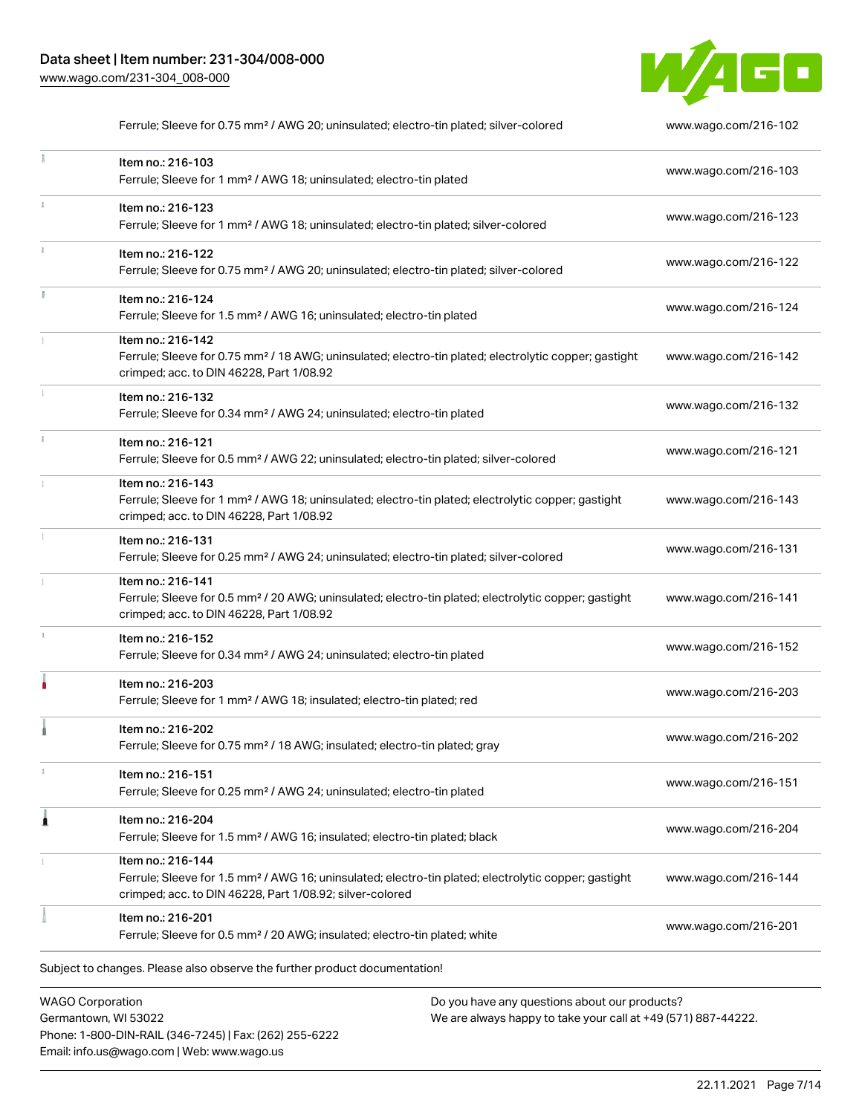Phone: 1-800-DIN-RAIL (346-7245) | Fax: (262) 255-6222

Email: info.us@wago.com | Web: www.wago.us



|   | Ferrule; Sleeve for 0.75 mm <sup>2</sup> / AWG 20; uninsulated; electro-tin plated; silver-colored                                                                                                |                                                                                                                | www.wago.com/216-102 |
|---|---------------------------------------------------------------------------------------------------------------------------------------------------------------------------------------------------|----------------------------------------------------------------------------------------------------------------|----------------------|
|   | Item no.: 216-103<br>Ferrule; Sleeve for 1 mm <sup>2</sup> / AWG 18; uninsulated; electro-tin plated                                                                                              |                                                                                                                | www.wago.com/216-103 |
|   | Item no.: 216-123<br>Ferrule; Sleeve for 1 mm <sup>2</sup> / AWG 18; uninsulated; electro-tin plated; silver-colored                                                                              |                                                                                                                | www.wago.com/216-123 |
|   | Item no.: 216-122<br>Ferrule; Sleeve for 0.75 mm <sup>2</sup> / AWG 20; uninsulated; electro-tin plated; silver-colored                                                                           |                                                                                                                | www.wago.com/216-122 |
|   | Item no.: 216-124<br>Ferrule; Sleeve for 1.5 mm <sup>2</sup> / AWG 16; uninsulated; electro-tin plated                                                                                            |                                                                                                                | www.wago.com/216-124 |
|   | Item no.: 216-142<br>Ferrule; Sleeve for 0.75 mm <sup>2</sup> / 18 AWG; uninsulated; electro-tin plated; electrolytic copper; gastight<br>crimped; acc. to DIN 46228, Part 1/08.92                |                                                                                                                | www.wago.com/216-142 |
|   | Item no.: 216-132<br>Ferrule; Sleeve for 0.34 mm <sup>2</sup> / AWG 24; uninsulated; electro-tin plated                                                                                           |                                                                                                                | www.wago.com/216-132 |
|   | Item no.: 216-121<br>Ferrule; Sleeve for 0.5 mm <sup>2</sup> / AWG 22; uninsulated; electro-tin plated; silver-colored                                                                            |                                                                                                                | www.wago.com/216-121 |
|   | Item no.: 216-143<br>Ferrule; Sleeve for 1 mm <sup>2</sup> / AWG 18; uninsulated; electro-tin plated; electrolytic copper; gastight<br>crimped; acc. to DIN 46228, Part 1/08.92                   |                                                                                                                | www.wago.com/216-143 |
|   | Item no.: 216-131<br>Ferrule; Sleeve for 0.25 mm <sup>2</sup> / AWG 24; uninsulated; electro-tin plated; silver-colored                                                                           |                                                                                                                | www.wago.com/216-131 |
|   | Item no.: 216-141<br>Ferrule; Sleeve for 0.5 mm <sup>2</sup> / 20 AWG; uninsulated; electro-tin plated; electrolytic copper; gastight<br>crimped; acc. to DIN 46228, Part 1/08.92                 |                                                                                                                | www.wago.com/216-141 |
|   | Item no.: 216-152<br>Ferrule; Sleeve for 0.34 mm <sup>2</sup> / AWG 24; uninsulated; electro-tin plated                                                                                           |                                                                                                                | www.wago.com/216-152 |
|   | Item no.: 216-203<br>Ferrule; Sleeve for 1 mm <sup>2</sup> / AWG 18; insulated; electro-tin plated; red                                                                                           |                                                                                                                | www.wago.com/216-203 |
|   | Item no.: 216-202<br>Ferrule; Sleeve for 0.75 mm <sup>2</sup> / 18 AWG; insulated; electro-tin plated; gray                                                                                       |                                                                                                                | www.wago.com/216-202 |
|   | Item no.: 216-151<br>Ferrule; Sleeve for 0.25 mm <sup>2</sup> / AWG 24; uninsulated; electro-tin plated                                                                                           |                                                                                                                | www.wago.com/216-151 |
| 1 | Item no.: 216-204<br>Ferrule; Sleeve for 1.5 mm <sup>2</sup> / AWG 16; insulated; electro-tin plated; black                                                                                       |                                                                                                                | www.wago.com/216-204 |
|   | Item no.: 216-144<br>Ferrule; Sleeve for 1.5 mm <sup>2</sup> / AWG 16; uninsulated; electro-tin plated; electrolytic copper; gastight<br>crimped; acc. to DIN 46228, Part 1/08.92; silver-colored |                                                                                                                | www.wago.com/216-144 |
|   | Item no.: 216-201<br>Ferrule; Sleeve for 0.5 mm <sup>2</sup> / 20 AWG; insulated; electro-tin plated; white                                                                                       |                                                                                                                | www.wago.com/216-201 |
|   | Subject to changes. Please also observe the further product documentation!                                                                                                                        |                                                                                                                |                      |
|   | <b>WAGO Corporation</b><br>Germantown, WI 53022                                                                                                                                                   | Do you have any questions about our products?<br>We are always happy to take your call at +49 (571) 887-44222. |                      |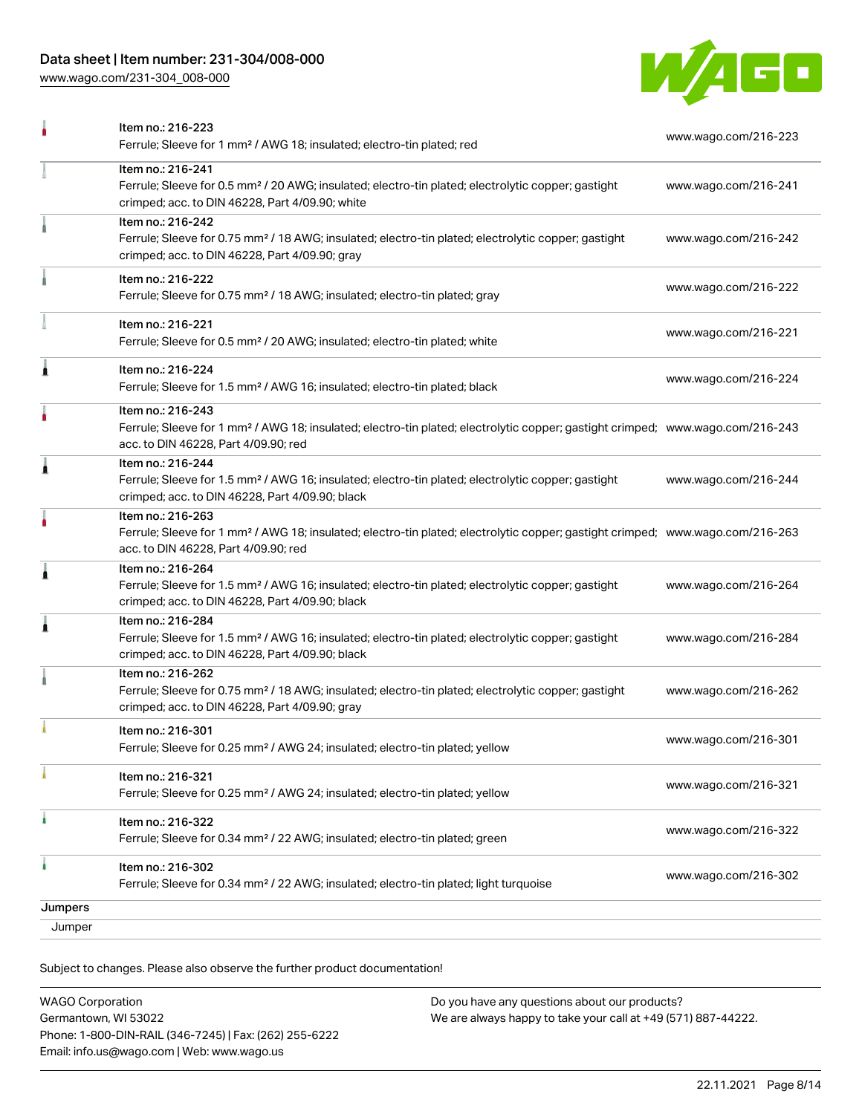## Data sheet | Item number: 231-304/008-000

[www.wago.com/231-304\\_008-000](http://www.wago.com/231-304_008-000)



|         | Item no.: 216-223<br>Ferrule; Sleeve for 1 mm <sup>2</sup> / AWG 18; insulated; electro-tin plated; red                                                                                                 | www.wago.com/216-223 |
|---------|---------------------------------------------------------------------------------------------------------------------------------------------------------------------------------------------------------|----------------------|
|         | Item no.: 216-241<br>Ferrule; Sleeve for 0.5 mm <sup>2</sup> / 20 AWG; insulated; electro-tin plated; electrolytic copper; gastight<br>crimped; acc. to DIN 46228, Part 4/09.90; white                  | www.wago.com/216-241 |
|         | Item no.: 216-242<br>Ferrule; Sleeve for 0.75 mm <sup>2</sup> / 18 AWG; insulated; electro-tin plated; electrolytic copper; gastight<br>crimped; acc. to DIN 46228, Part 4/09.90; gray                  | www.wago.com/216-242 |
|         | Item no.: 216-222<br>Ferrule; Sleeve for 0.75 mm <sup>2</sup> / 18 AWG; insulated; electro-tin plated; gray                                                                                             | www.wago.com/216-222 |
|         | Item no.: 216-221<br>Ferrule; Sleeve for 0.5 mm <sup>2</sup> / 20 AWG; insulated; electro-tin plated; white                                                                                             | www.wago.com/216-221 |
| Ă       | Item no.: 216-224<br>Ferrule; Sleeve for 1.5 mm <sup>2</sup> / AWG 16; insulated; electro-tin plated; black                                                                                             | www.wago.com/216-224 |
|         | Item no.: 216-243<br>Ferrule; Sleeve for 1 mm <sup>2</sup> / AWG 18; insulated; electro-tin plated; electrolytic copper; gastight crimped; www.wago.com/216-243<br>acc. to DIN 46228, Part 4/09.90; red |                      |
| Å       | Item no.: 216-244<br>Ferrule; Sleeve for 1.5 mm <sup>2</sup> / AWG 16; insulated; electro-tin plated; electrolytic copper; gastight<br>crimped; acc. to DIN 46228, Part 4/09.90; black                  | www.wago.com/216-244 |
|         | Item no.: 216-263<br>Ferrule; Sleeve for 1 mm <sup>2</sup> / AWG 18; insulated; electro-tin plated; electrolytic copper; gastight crimped; www.wago.com/216-263<br>acc. to DIN 46228, Part 4/09.90; red |                      |
| Ă       | Item no.: 216-264<br>Ferrule; Sleeve for 1.5 mm <sup>2</sup> / AWG 16; insulated; electro-tin plated; electrolytic copper; gastight<br>crimped; acc. to DIN 46228, Part 4/09.90; black                  | www.wago.com/216-264 |
| Â       | Item no.: 216-284<br>Ferrule; Sleeve for 1.5 mm <sup>2</sup> / AWG 16; insulated; electro-tin plated; electrolytic copper; gastight<br>crimped; acc. to DIN 46228, Part 4/09.90; black                  | www.wago.com/216-284 |
|         | Item no.: 216-262<br>Ferrule; Sleeve for 0.75 mm <sup>2</sup> / 18 AWG; insulated; electro-tin plated; electrolytic copper; gastight<br>crimped; acc. to DIN 46228, Part 4/09.90; gray                  | www.wago.com/216-262 |
|         | Item no.: 216-301<br>Ferrule; Sleeve for 0.25 mm <sup>2</sup> / AWG 24; insulated; electro-tin plated; yellow                                                                                           | www.wago.com/216-301 |
|         | Item no.: 216-321<br>Ferrule; Sleeve for 0.25 mm <sup>2</sup> / AWG 24; insulated; electro-tin plated; yellow                                                                                           | www.wago.com/216-321 |
|         | Item no.: 216-322<br>Ferrule; Sleeve for 0.34 mm <sup>2</sup> / 22 AWG; insulated; electro-tin plated; green                                                                                            | www.wago.com/216-322 |
|         | Item no.: 216-302<br>Ferrule; Sleeve for 0.34 mm <sup>2</sup> / 22 AWG; insulated; electro-tin plated; light turquoise                                                                                  | www.wago.com/216-302 |
| Jumpers |                                                                                                                                                                                                         |                      |
| Jumper  |                                                                                                                                                                                                         |                      |

Subject to changes. Please also observe the further product documentation!

| <b>WAGO Corporation</b>                                | Do you have any questions about our products?                 |
|--------------------------------------------------------|---------------------------------------------------------------|
| Germantown, WI 53022                                   | We are always happy to take your call at +49 (571) 887-44222. |
| Phone: 1-800-DIN-RAIL (346-7245)   Fax: (262) 255-6222 |                                                               |
| Email: info.us@wago.com   Web: www.wago.us             |                                                               |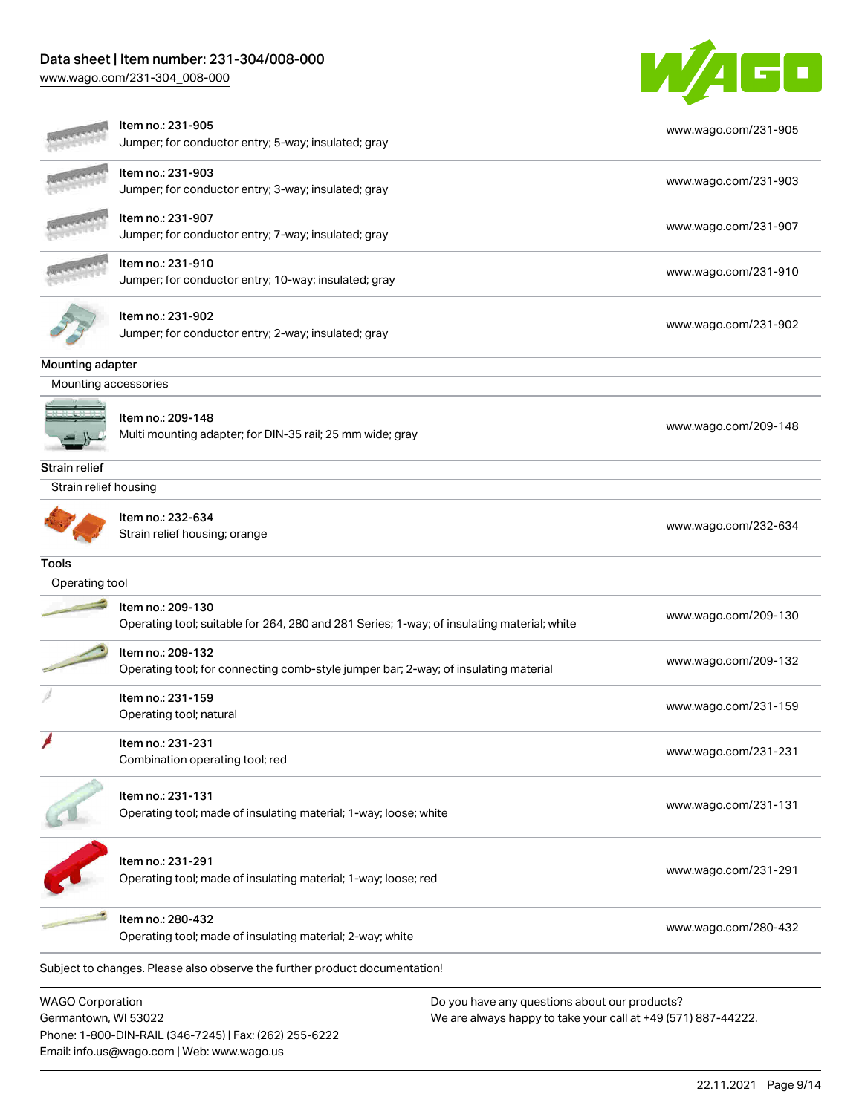## Data sheet | Item number: 231-304/008-000

Email: info.us@wago.com | Web: www.wago.us

[www.wago.com/231-304\\_008-000](http://www.wago.com/231-304_008-000)



|                                                 | Item no.: 231-905<br>Jumper; for conductor entry; 5-way; insulated; gray                                        |                                                                                                                | www.wago.com/231-905 |
|-------------------------------------------------|-----------------------------------------------------------------------------------------------------------------|----------------------------------------------------------------------------------------------------------------|----------------------|
|                                                 | Item no.: 231-903<br>Jumper; for conductor entry; 3-way; insulated; gray                                        |                                                                                                                | www.wago.com/231-903 |
|                                                 | Item no.: 231-907<br>Jumper; for conductor entry; 7-way; insulated; gray                                        |                                                                                                                | www.wago.com/231-907 |
|                                                 | Item no.: 231-910<br>Jumper; for conductor entry; 10-way; insulated; gray                                       |                                                                                                                | www.wago.com/231-910 |
|                                                 | Item no.: 231-902<br>Jumper; for conductor entry; 2-way; insulated; gray                                        |                                                                                                                | www.wago.com/231-902 |
| Mounting adapter                                |                                                                                                                 |                                                                                                                |                      |
| Mounting accessories                            |                                                                                                                 |                                                                                                                |                      |
|                                                 | Item no.: 209-148<br>Multi mounting adapter; for DIN-35 rail; 25 mm wide; gray                                  |                                                                                                                | www.wago.com/209-148 |
| <b>Strain relief</b>                            |                                                                                                                 |                                                                                                                |                      |
| Strain relief housing                           |                                                                                                                 |                                                                                                                |                      |
|                                                 | Item no.: 232-634<br>Strain relief housing; orange                                                              |                                                                                                                | www.wago.com/232-634 |
| <b>Tools</b>                                    |                                                                                                                 |                                                                                                                |                      |
| Operating tool                                  |                                                                                                                 |                                                                                                                |                      |
|                                                 | Item no.: 209-130<br>Operating tool; suitable for 264, 280 and 281 Series; 1-way; of insulating material; white |                                                                                                                | www.wago.com/209-130 |
|                                                 | Item no.: 209-132<br>Operating tool; for connecting comb-style jumper bar; 2-way; of insulating material        |                                                                                                                | www.wago.com/209-132 |
|                                                 | Item no.: 231-159<br>Operating tool; natural                                                                    |                                                                                                                | www.wago.com/231-159 |
|                                                 | Item no.: 231-231<br>Combination operating tool; red                                                            |                                                                                                                | www.wago.com/231-231 |
|                                                 | Item no.: 231-131<br>Operating tool; made of insulating material; 1-way; loose; white                           |                                                                                                                | www.wago.com/231-131 |
|                                                 | Item no.: 231-291<br>Operating tool; made of insulating material; 1-way; loose; red                             |                                                                                                                | www.wago.com/231-291 |
|                                                 | Item no.: 280-432<br>Operating tool; made of insulating material; 2-way; white                                  |                                                                                                                | www.wago.com/280-432 |
|                                                 | Subject to changes. Please also observe the further product documentation!                                      |                                                                                                                |                      |
| <b>WAGO Corporation</b><br>Germantown, WI 53022 | Phone: 1-800-DIN-RAIL (346-7245)   Fax: (262) 255-6222                                                          | Do you have any questions about our products?<br>We are always happy to take your call at +49 (571) 887-44222. |                      |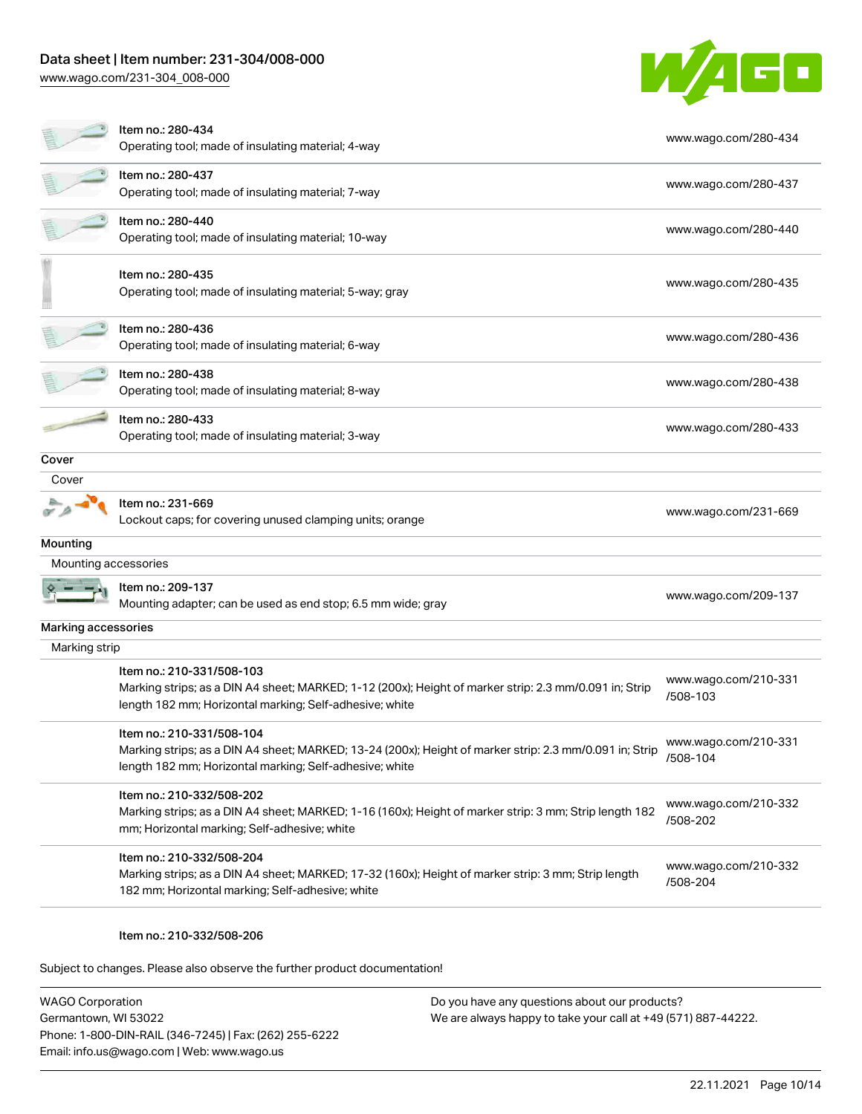# Data sheet | Item number: 231-304/008-000

[www.wago.com/231-304\\_008-000](http://www.wago.com/231-304_008-000)



|                      | Item no.: 280-434<br>Operating tool; made of insulating material; 4-way                                                                                                                         | www.wago.com/280-434             |
|----------------------|-------------------------------------------------------------------------------------------------------------------------------------------------------------------------------------------------|----------------------------------|
|                      | Item no.: 280-437<br>Operating tool; made of insulating material; 7-way                                                                                                                         | www.wago.com/280-437             |
|                      | Item no.: 280-440<br>Operating tool; made of insulating material; 10-way                                                                                                                        | www.wago.com/280-440             |
|                      | Item no.: 280-435<br>Operating tool; made of insulating material; 5-way; gray                                                                                                                   | www.wago.com/280-435             |
|                      | Item no.: 280-436<br>Operating tool; made of insulating material; 6-way                                                                                                                         | www.wago.com/280-436             |
|                      | Item no.: 280-438<br>Operating tool; made of insulating material; 8-way                                                                                                                         | www.wago.com/280-438             |
|                      | Item no.: 280-433<br>Operating tool; made of insulating material; 3-way                                                                                                                         | www.wago.com/280-433             |
| Cover                |                                                                                                                                                                                                 |                                  |
| Cover                |                                                                                                                                                                                                 |                                  |
|                      | Item no.: 231-669<br>Lockout caps; for covering unused clamping units; orange                                                                                                                   | www.wago.com/231-669             |
| Mounting             |                                                                                                                                                                                                 |                                  |
| Mounting accessories |                                                                                                                                                                                                 |                                  |
|                      | Item no.: 209-137<br>Mounting adapter; can be used as end stop; 6.5 mm wide; gray                                                                                                               | www.wago.com/209-137             |
| Marking accessories  |                                                                                                                                                                                                 |                                  |
| Marking strip        |                                                                                                                                                                                                 |                                  |
|                      | Item no.: 210-331/508-103<br>Marking strips; as a DIN A4 sheet; MARKED; 1-12 (200x); Height of marker strip: 2.3 mm/0.091 in; Strip<br>length 182 mm; Horizontal marking; Self-adhesive; white  | www.wago.com/210-331<br>/508-103 |
|                      | ltem no.: 210-331/508-104<br>Marking strips; as a DIN A4 sheet; MARKED; 13-24 (200x); Height of marker strip: 2.3 mm/0.091 in; Strip<br>length 182 mm; Horizontal marking; Self-adhesive; white | www.wago.com/210-331<br>/508-104 |
|                      | Item no.: 210-332/508-202<br>Marking strips; as a DIN A4 sheet; MARKED; 1-16 (160x); Height of marker strip: 3 mm; Strip length 182<br>mm; Horizontal marking; Self-adhesive; white             | www.wago.com/210-332<br>/508-202 |
|                      | Item no.: 210-332/508-204<br>Marking strips; as a DIN A4 sheet; MARKED; 17-32 (160x); Height of marker strip: 3 mm; Strip length<br>182 mm; Horizontal marking; Self-adhesive; white            | www.wago.com/210-332<br>/508-204 |
|                      |                                                                                                                                                                                                 |                                  |

#### Item no.: 210-332/508-206

Subject to changes. Please also observe the further product documentation!

WAGO Corporation Germantown, WI 53022 Phone: 1-800-DIN-RAIL (346-7245) | Fax: (262) 255-6222 Email: info.us@wago.com | Web: www.wago.us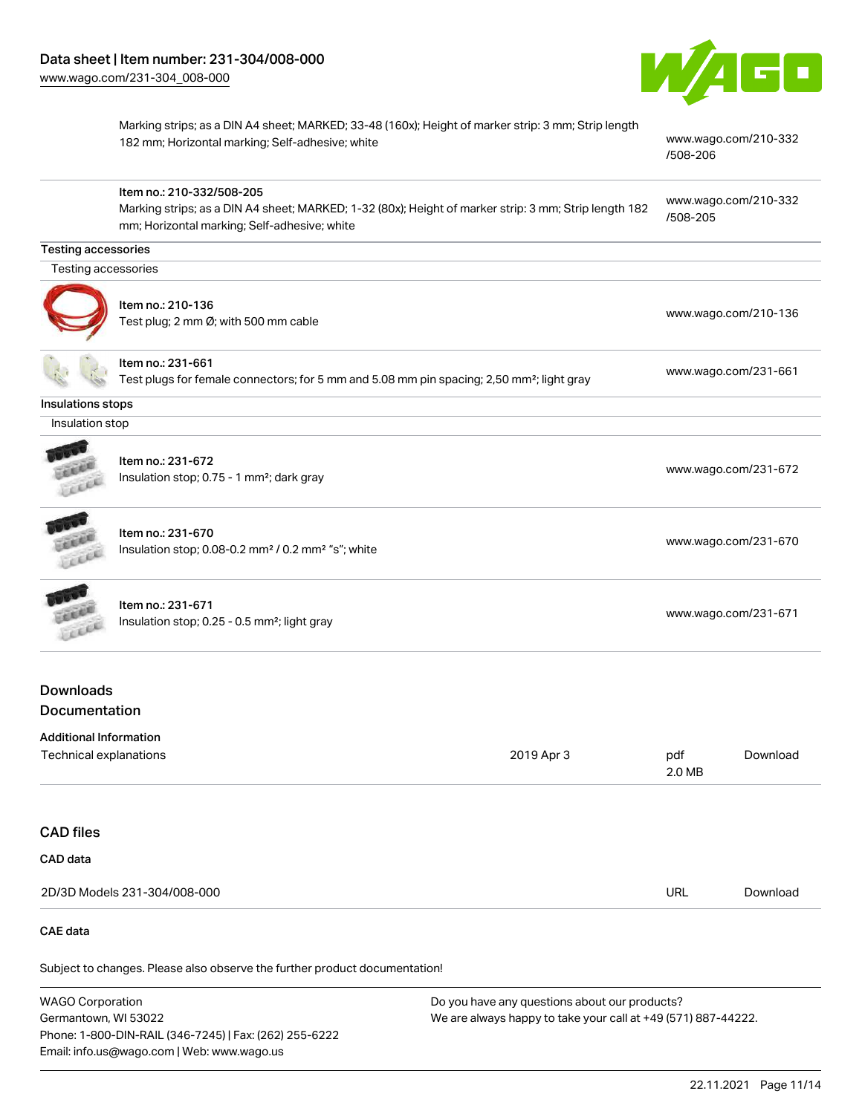

Marking strips; as a DIN A4 sheet; MARKED; 33-48 (160x); Height of marker strip: 3 mm; Strip length 182 mm; Horizontal marking; Self-adhesive; white [www.wago.com/210-332](http://www.wago.com/210-332/508-206)

[www.wago.com/231-672](http://www.wago.com/231-672)

#### Item no.: 210-332/508-205 Marking strips; as a DIN A4 sheet; MARKED; 1-32 (80x); Height of marker strip: 3 mm; Strip length 182 mm; Horizontal marking; Self-adhesive; white [www.wago.com/210-332](http://www.wago.com/210-332/508-205) [/508-205](http://www.wago.com/210-332/508-205)

#### Testing accessories

Testing accessories



#### Item no.: 210-136

Test plug; 2 mm Ø; with 500 mm cable [www.wago.com/210-136](http://www.wago.com/210-136)



Item no.: 231-661 Test plugs for female connectors; for 5 mm and 5.08 mm pin spacing; 2,50 mm²; light gray [www.wago.com/231-661](http://www.wago.com/231-661)

Insulations stops

Insulation stop



| Item no.: 231-672                                     |  |
|-------------------------------------------------------|--|
| Insulation stop; 0.75 - 1 mm <sup>2</sup> ; dark gray |  |



# Item no.: 231-670

Insulation stop; 0.08-0.2 mm<sup>2</sup> / 0.2 mm<sup>2</sup> "s"; white [www.wago.com/231-670](http://www.wago.com/231-670) www.wago.com/231-670

## Item no.: 231-671 Insulation stop; 0.25 - 0.5 mm²; light gray [www.wago.com/231-671](http://www.wago.com/231-671) www.wago.com/231-671

## Downloads Documentation

| Additional Information |            |               |          |
|------------------------|------------|---------------|----------|
| Technical explanations | 2019 Apr 3 | pdf<br>2.0 MB | Download |
|                        |            |               |          |

## CAD files

| CAD data                     |     |          |
|------------------------------|-----|----------|
| 2D/3D Models 231-304/008-000 | URL | Download |

#### CAE data

Subject to changes. Please also observe the further product documentation!

WAGO Corporation Germantown, WI 53022 Phone: 1-800-DIN-RAIL (346-7245) | Fax: (262) 255-6222 Email: info.us@wago.com | Web: www.wago.us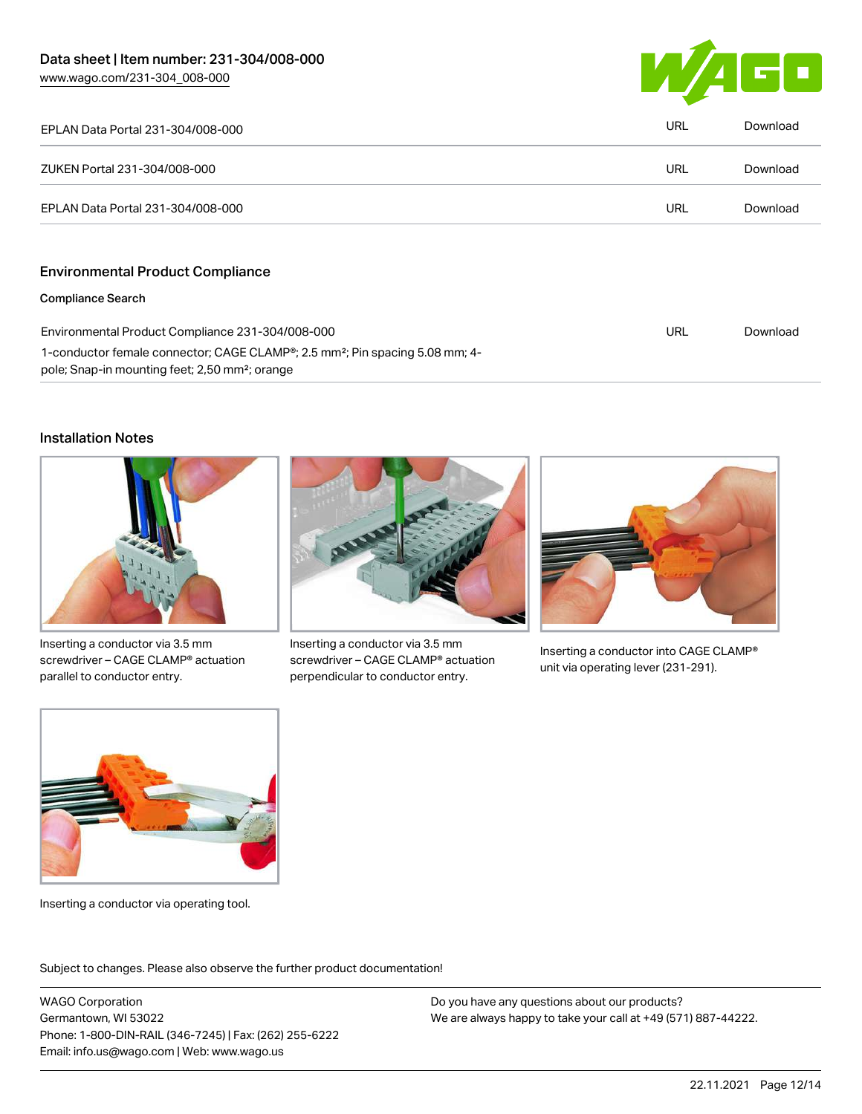

| EPLAN Data Portal 231-304/008-000                                   | <b>URL</b> | Download |
|---------------------------------------------------------------------|------------|----------|
| ZUKEN Portal 231-304/008-000                                        | <b>URL</b> | Download |
| EPLAN Data Portal 231-304/008-000                                   | <b>URL</b> | Download |
| <b>Environmental Product Compliance</b><br><b>Compliance Search</b> |            |          |

| Environmental Product Compliance 231-304/008-000                                                      | URL | Download |
|-------------------------------------------------------------------------------------------------------|-----|----------|
| 1-conductor female connector; CAGE CLAMP <sup>®</sup> ; 2.5 mm <sup>2</sup> ; Pin spacing 5.08 mm; 4- |     |          |
| pole; Snap-in mounting feet; 2,50 mm <sup>2</sup> ; orange                                            |     |          |

#### Installation Notes



Inserting a conductor via 3.5 mm screwdriver – CAGE CLAMP® actuation parallel to conductor entry.



Inserting a conductor via 3.5 mm screwdriver – CAGE CLAMP® actuation perpendicular to conductor entry.



Inserting a conductor into CAGE CLAMP® unit via operating lever (231-291).



Inserting a conductor via operating tool.

Subject to changes. Please also observe the further product documentation!

WAGO Corporation Germantown, WI 53022 Phone: 1-800-DIN-RAIL (346-7245) | Fax: (262) 255-6222 Email: info.us@wago.com | Web: www.wago.us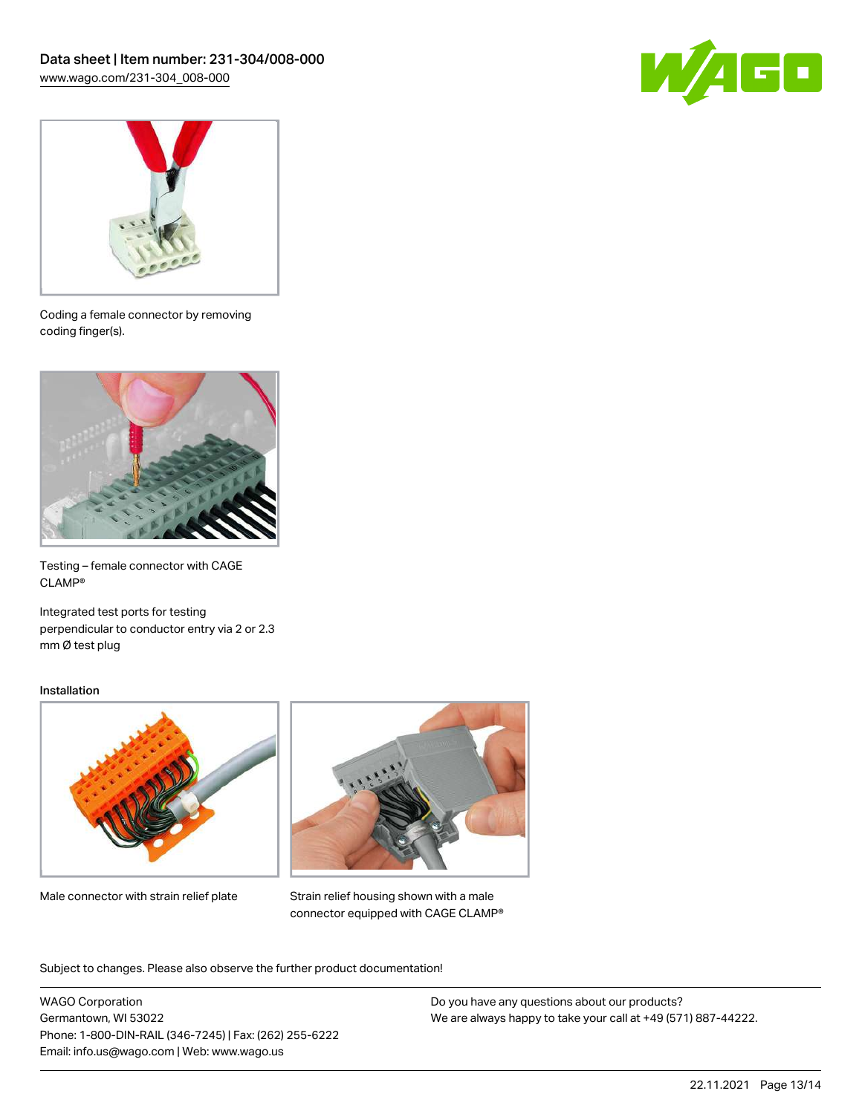



Coding a female connector by removing coding finger(s).



Testing – female connector with CAGE CLAMP®

Integrated test ports for testing perpendicular to conductor entry via 2 or 2.3 mm Ø test plug

#### Installation



Male connector with strain relief plate



Strain relief housing shown with a male connector equipped with CAGE CLAMP®

Subject to changes. Please also observe the further product documentation!

WAGO Corporation Germantown, WI 53022 Phone: 1-800-DIN-RAIL (346-7245) | Fax: (262) 255-6222 Email: info.us@wago.com | Web: www.wago.us